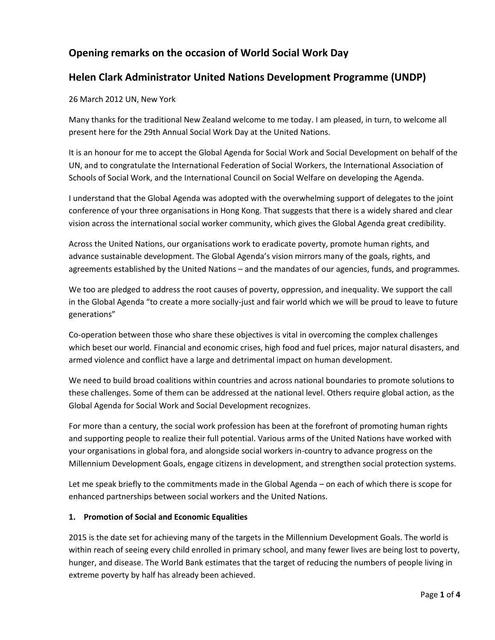# **Opening remarks on the occasion of World Social Work Day**

## **Helen Clark Administrator United Nations Development Programme (UNDP)**

26 March 2012 UN, New York

Many thanks for the traditional New Zealand welcome to me today. I am pleased, in turn, to welcome all present here for the 29th Annual Social Work Day at the United Nations.

It is an honour for me to accept the Global Agenda for Social Work and Social Development on behalf of the UN, and to congratulate the International Federation of Social Workers, the International Association of Schools of Social Work, and the International Council on Social Welfare on developing the Agenda.

I understand that the Global Agenda was adopted with the overwhelming support of delegates to the joint conference of your three organisations in Hong Kong. That suggests that there is a widely shared and clear vision across the international social worker community, which gives the Global Agenda great credibility.

Across the United Nations, our organisations work to eradicate poverty, promote human rights, and advance sustainable development. The Global Agenda's vision mirrors many of the goals, rights, and agreements established by the United Nations – and the mandates of our agencies, funds, and programmes.

We too are pledged to address the root causes of poverty, oppression, and inequality. We support the call in the Global Agenda "to create a more socially-just and fair world which we will be proud to leave to future generations"

Co-operation between those who share these objectives is vital in overcoming the complex challenges which beset our world. Financial and economic crises, high food and fuel prices, major natural disasters, and armed violence and conflict have a large and detrimental impact on human development.

We need to build broad coalitions within countries and across national boundaries to promote solutions to these challenges. Some of them can be addressed at the national level. Others require global action, as the Global Agenda for Social Work and Social Development recognizes.

For more than a century, the social work profession has been at the forefront of promoting human rights and supporting people to realize their full potential. Various arms of the United Nations have worked with your organisations in global fora, and alongside social workers in-country to advance progress on the Millennium Development Goals, engage citizens in development, and strengthen social protection systems.

Let me speak briefly to the commitments made in the Global Agenda – on each of which there is scope for enhanced partnerships between social workers and the United Nations.

## **1. Promotion of Social and Economic Equalities**

2015 is the date set for achieving many of the targets in the Millennium Development Goals. The world is within reach of seeing every child enrolled in primary school, and many fewer lives are being lost to poverty, hunger, and disease. The World Bank estimates that the target of reducing the numbers of people living in extreme poverty by half has already been achieved.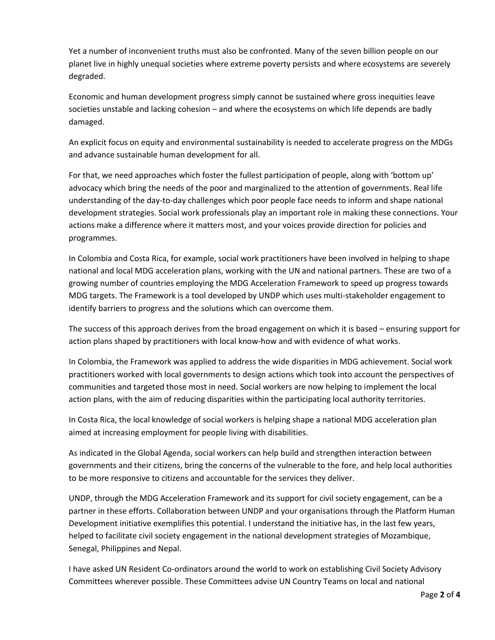Yet a number of inconvenient truths must also be confronted. Many of the seven billion people on our planet live in highly unequal societies where extreme poverty persists and where ecosystems are severely degraded.

Economic and human development progress simply cannot be sustained where gross inequities leave societies unstable and lacking cohesion – and where the ecosystems on which life depends are badly damaged.

An explicit focus on equity and environmental sustainability is needed to accelerate progress on the MDGs and advance sustainable human development for all.

For that, we need approaches which foster the fullest participation of people, along with 'bottom up' advocacy which bring the needs of the poor and marginalized to the attention of governments. Real life understanding of the day-to-day challenges which poor people face needs to inform and shape national development strategies. Social work professionals play an important role in making these connections. Your actions make a difference where it matters most, and your voices provide direction for policies and programmes.

In Colombia and Costa Rica, for example, social work practitioners have been involved in helping to shape national and local MDG acceleration plans, working with the UN and national partners. These are two of a growing number of countries employing the MDG Acceleration Framework to speed up progress towards MDG targets. The Framework is a tool developed by UNDP which uses multi-stakeholder engagement to identify barriers to progress and the solutions which can overcome them.

The success of this approach derives from the broad engagement on which it is based – ensuring support for action plans shaped by practitioners with local know-how and with evidence of what works.

In Colombia, the Framework was applied to address the wide disparities in MDG achievement. Social work practitioners worked with local governments to design actions which took into account the perspectives of communities and targeted those most in need. Social workers are now helping to implement the local action plans, with the aim of reducing disparities within the participating local authority territories.

In Costa Rica, the local knowledge of social workers is helping shape a national MDG acceleration plan aimed at increasing employment for people living with disabilities.

As indicated in the Global Agenda, social workers can help build and strengthen interaction between governments and their citizens, bring the concerns of the vulnerable to the fore, and help local authorities to be more responsive to citizens and accountable for the services they deliver.

UNDP, through the MDG Acceleration Framework and its support for civil society engagement, can be a partner in these efforts. Collaboration between UNDP and your organisations through the Platform Human Development initiative exemplifies this potential. I understand the initiative has, in the last few years, helped to facilitate civil society engagement in the national development strategies of Mozambique, Senegal, Philippines and Nepal.

I have asked UN Resident Co-ordinators around the world to work on establishing Civil Society Advisory Committees wherever possible. These Committees advise UN Country Teams on local and national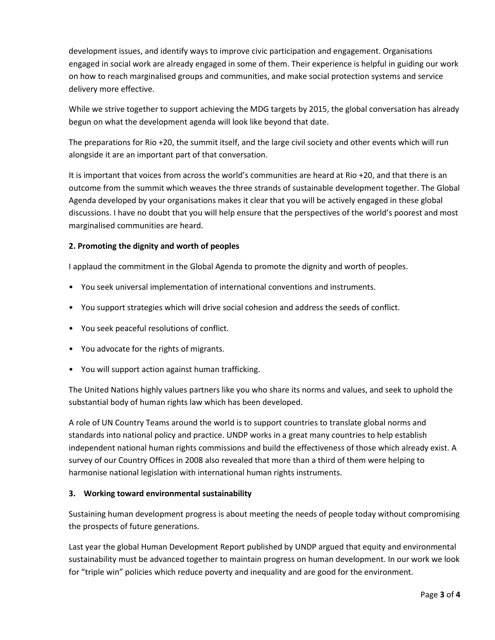development issues, and identify ways to improve civic participation and engagement. Organisations engaged in social work are already engaged in some of them. Their experience is helpful in guiding our work on how to reach marginalised groups and communities, and make social protection systems and service delivery more effective.

While we strive together to support achieving the MDG targets by 2015, the global conversation has already begun on what the development agenda will look like beyond that date.

The preparations for Rio +20, the summit itself, and the large civil society and other events which will run alongside it are an important part of that conversation.

It is important that voices from across the world's communities are heard at Rio +20, and that there is an outcome from the summit which weaves the three strands of sustainable development together. The Global Agenda developed by your organisations makes it clear that you will be actively engaged in these global discussions. I have no doubt that you will help ensure that the perspectives of the world's poorest and most marginalised communities are heard.

## **2. Promoting the dignity and worth of peoples**

I applaud the commitment in the Global Agenda to promote the dignity and worth of peoples.

- You seek universal implementation of international conventions and instruments.
- You support strategies which will drive social cohesion and address the seeds of conflict.
- You seek peaceful resolutions of conflict.
- You advocate for the rights of migrants.
- You will support action against human trafficking.

The United Nations highly values partners like you who share its norms and values, and seek to uphold the substantial body of human rights law which has been developed.

A role of UN Country Teams around the world is to support countries to translate global norms and standards into national policy and practice. UNDP works in a great many countries to help establish independent national human rights commissions and build the effectiveness of those which already exist. A survey of our Country Offices in 2008 also revealed that more than a third of them were helping to harmonise national legislation with international human rights instruments.

#### **3. Working toward environmental sustainability**

Sustaining human development progress is about meeting the needs of people today without compromising the prospects of future generations.

Last year the global Human Development Report published by UNDP argued that equity and environmental sustainability must be advanced together to maintain progress on human development. In our work we look for "triple win" policies which reduce poverty and inequality and are good for the environment.